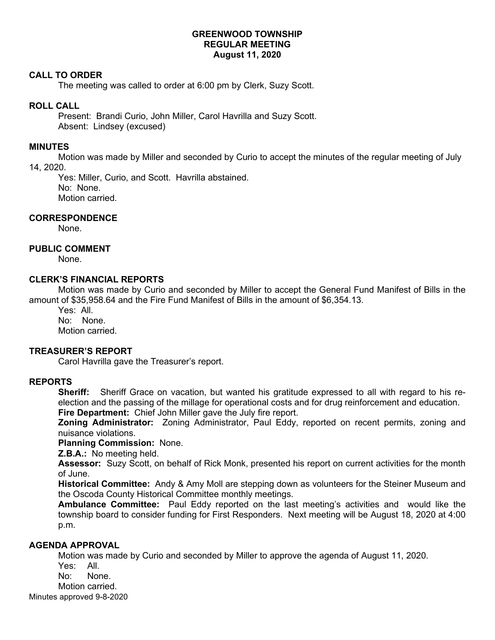## **GREENWOOD TOWNSHIP REGULAR MEETING August 11, 2020**

### **CALL TO ORDER**

The meeting was called to order at 6:00 pm by Clerk, Suzy Scott.

### **ROLL CALL**

Present: Brandi Curio, John Miller, Carol Havrilla and Suzy Scott. Absent: Lindsey (excused)

## **MINUTES**

Motion was made by Miller and seconded by Curio to accept the minutes of the regular meeting of July 14, 2020.

Yes: Miller, Curio, and Scott. Havrilla abstained. No: None. Motion carried.

## **CORRESPONDENCE**

None.

# **PUBLIC COMMENT**

None.

## **CLERK'S FINANCIAL REPORTS**

Motion was made by Curio and seconded by Miller to accept the General Fund Manifest of Bills in the amount of \$35,958.64 and the Fire Fund Manifest of Bills in the amount of \$6,354.13.

Yes: All. No: None. Motion carried.

## **TREASURER'S REPORT**

Carol Havrilla gave the Treasurer's report.

#### **REPORTS**

**Sheriff:** Sheriff Grace on vacation, but wanted his gratitude expressed to all with regard to his reelection and the passing of the millage for operational costs and for drug reinforcement and education. **Fire Department:** Chief John Miller gave the July fire report.

**Zoning Administrator:** Zoning Administrator, Paul Eddy, reported on recent permits, zoning and nuisance violations.

#### **Planning Commission:** None.

**Z.B.A.:** No meeting held.

**Assessor:** Suzy Scott, on behalf of Rick Monk, presented his report on current activities for the month of June.

**Historical Committee:** Andy & Amy Moll are stepping down as volunteers for the Steiner Museum and the Oscoda County Historical Committee monthly meetings.

**Ambulance Committee:** Paul Eddy reported on the last meeting's activities and would like the township board to consider funding for First Responders. Next meeting will be August 18, 2020 at 4:00 p.m.

#### **AGENDA APPROVAL**

Motion was made by Curio and seconded by Miller to approve the agenda of August 11, 2020.

Minutes approved 9-8-2020 Yes: All. No: None. Motion carried.